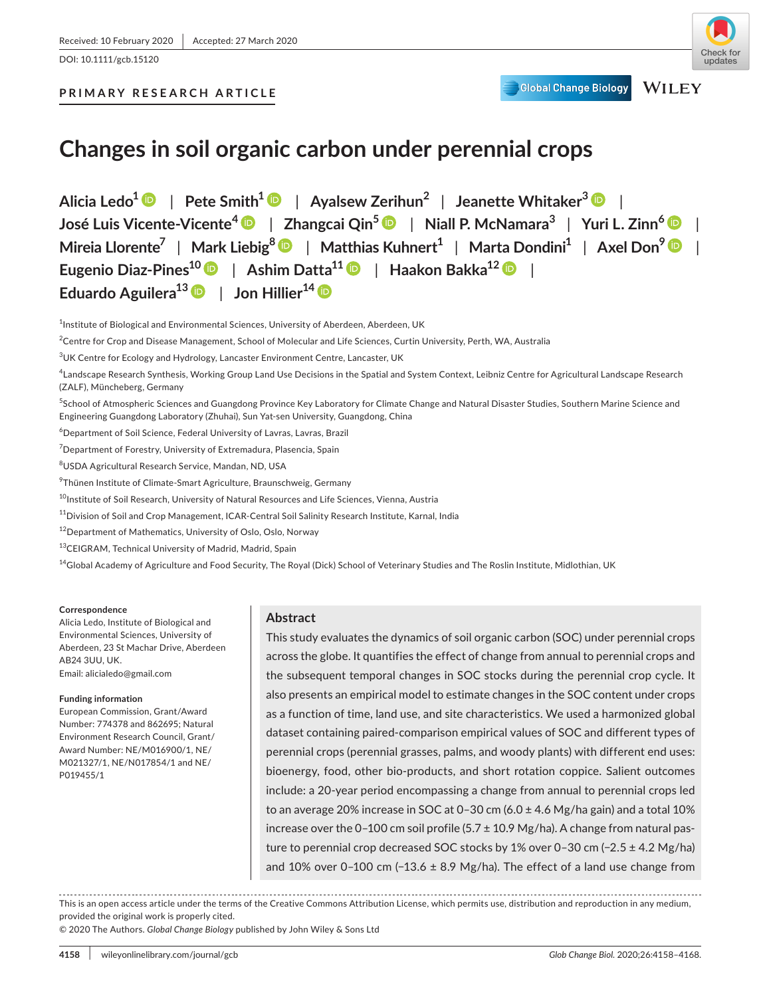DOI: 10.1111/gcb.15120

**Global Change Biology** 

# **PRIMARY RESEARCH ARTICLE**

**Changes in soil organic carbon under perennial crops**

**Alicia Ledo[1](https://orcid.org/0000-0002-3967-6994)** | **Pete Smith[1](https://orcid.org/0000-0002-3784-1124)** | **Ayalsew Zerihun2** | **Jeanette Whitaker<sup>3</sup>** | **José Luis Vicente-Vicente[4](https://orcid.org/0000-0003-3554-9354)** | **Zhangcai Qin5** | **Niall P. McNamara3** | **Yuri L. Zinn<sup>6</sup>** | **Mireia Llorente7** | **Mark Liebig[8](https://orcid.org/0000-0002-2716-3665)** | **Matthias Kuhnert1** | **Marta Dondini1** | **Axel Don[9](https://orcid.org/0000-0001-7046-3332)** | **Eugenio Diaz-Pines10** | **Ashim Datta11** | **Haakon Bakka12** | **Eduardo Aguilera13** | **Jon Hillier14**

<sup>1</sup>Institute of Biological and Environmental Sciences, University of Aberdeen, Aberdeen, UK

 $^2$ Centre for Crop and Disease Management, School of Molecular and Life Sciences, Curtin University, Perth, WA, Australia

4 Landscape Research Synthesis, Working Group Land Use Decisions in the Spatial and System Context, Leibniz Centre for Agricultural Landscape Research (ZALF), Müncheberg, Germany

5 School of Atmospheric Sciences and Guangdong Province Key Laboratory for Climate Change and Natural Disaster Studies, Southern Marine Science and Engineering Guangdong Laboratory (Zhuhai), Sun Yat-sen University, Guangdong, China

6 Department of Soil Science, Federal University of Lavras, Lavras, Brazil

<sup>7</sup>Department of Forestry, University of Extremadura, Plasencia, Spain

8 USDA Agricultural Research Service, Mandan, ND, USA

<sup>9</sup>Thünen Institute of Climate-Smart Agriculture, Braunschweig, Germany

<sup>10</sup>Institute of Soil Research, University of Natural Resources and Life Sciences, Vienna, Austria

<sup>11</sup>Division of Soil and Crop Management, ICAR-Central Soil Salinity Research Institute, Karnal, India

<sup>12</sup>Department of Mathematics, University of Oslo, Oslo, Norway

<sup>13</sup>CEIGRAM, Technical University of Madrid, Madrid, Spain

 $^{14}$ Global Academy of Agriculture and Food Security, The Royal (Dick) School of Veterinary Studies and The Roslin Institute, Midlothian, UK

#### **Correspondence**

Alicia Ledo, Institute of Biological and Environmental Sciences, University of Aberdeen, 23 St Machar Drive, Aberdeen AB24 3UU, UK. Email: [alicialedo@gmail.com](mailto:alicialedo@gmail.com)

#### **Funding information**

European Commission, Grant/Award Number: 774378 and 862695; Natural Environment Research Council, Grant/ Award Number: NE/M016900/1, NE/ M021327/1, NE/N017854/1 and NE/ P019455/1

### **Abstract**

This study evaluates the dynamics of soil organic carbon (SOC) under perennial crops across the globe. It quantifies the effect of change from annual to perennial crops and the subsequent temporal changes in SOC stocks during the perennial crop cycle. It also presents an empirical model to estimate changes in the SOC content under crops as a function of time, land use, and site characteristics. We used a harmonized global dataset containing paired-comparison empirical values of SOC and different types of perennial crops (perennial grasses, palms, and woody plants) with different end uses: bioenergy, food, other bio-products, and short rotation coppice. Salient outcomes include: a 20-year period encompassing a change from annual to perennial crops led to an average 20% increase in SOC at 0–30 cm (6.0 ± 4.6 Mg/ha gain) and a total 10% increase over the 0-100 cm soil profile (5.7  $\pm$  10.9 Mg/ha). A change from natural pasture to perennial crop decreased SOC stocks by 1% over 0–30 cm (−2.5 ± 4.2 Mg/ha) and 10% over 0–100 cm (-13.6  $\pm$  8.9 Mg/ha). The effect of a land use change from

This is an open access article under the terms of the [Creative Commons Attribution](http://creativecommons.org/licenses/by/4.0/) License, which permits use, distribution and reproduction in any medium, provided the original work is properly cited.

© 2020 The Authors. *Global Change Biology* published by John Wiley & Sons Ltd

 $^3$ UK Centre for Ecology and Hydrology, Lancaster Environment Centre, Lancaster, UK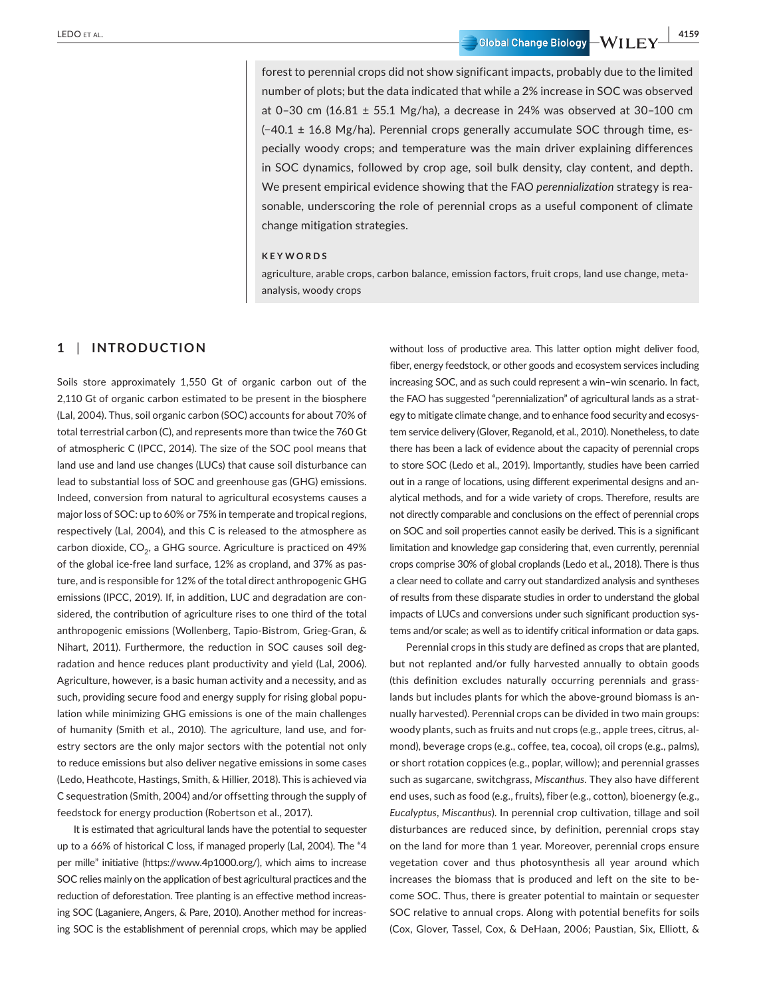LEDO ET AL. **And Experiment Contract Contract Contract Contract Contract Contract Contract Contract Contract Contract Contract Contract Contract Contract Contract Contract Contract Contract Contract Contract Contract Contr** 

forest to perennial crops did not show significant impacts, probably due to the limited number of plots; but the data indicated that while a 2% increase in SOC was observed at 0-30 cm (16.81  $\pm$  55.1 Mg/ha), a decrease in 24% was observed at 30-100 cm (−40.1 ± 16.8 Mg/ha). Perennial crops generally accumulate SOC through time, especially woody crops; and temperature was the main driver explaining differences in SOC dynamics, followed by crop age, soil bulk density, clay content, and depth. We present empirical evidence showing that the FAO *perennialization* strategy is reasonable, underscoring the role of perennial crops as a useful component of climate change mitigation strategies.

#### **KEYWORDS**

agriculture, arable crops, carbon balance, emission factors, fruit crops, land use change, metaanalysis, woody crops

### **1** | **INTRODUCTION**

Soils store approximately 1,550 Gt of organic carbon out of the 2,110 Gt of organic carbon estimated to be present in the biosphere (Lal, 2004). Thus, soil organic carbon (SOC) accounts for about 70% of total terrestrial carbon (C), and represents more than twice the 760 Gt of atmospheric C (IPCC, 2014). The size of the SOC pool means that land use and land use changes (LUCs) that cause soil disturbance can lead to substantial loss of SOC and greenhouse gas (GHG) emissions. Indeed, conversion from natural to agricultural ecosystems causes a major loss of SOC: up to 60% or 75% in temperate and tropical regions, respectively (Lal, 2004), and this C is released to the atmosphere as carbon dioxide,  $CO<sub>2</sub>$ , a GHG source. Agriculture is practiced on 49% of the global ice-free land surface, 12% as cropland, and 37% as pasture, and is responsible for 12% of the total direct anthropogenic GHG emissions (IPCC, 2019). If, in addition, LUC and degradation are considered, the contribution of agriculture rises to one third of the total anthropogenic emissions (Wollenberg, Tapio-Bistrom, Grieg-Gran, & Nihart, 2011). Furthermore, the reduction in SOC causes soil degradation and hence reduces plant productivity and yield (Lal, 2006). Agriculture, however, is a basic human activity and a necessity, and as such, providing secure food and energy supply for rising global population while minimizing GHG emissions is one of the main challenges of humanity (Smith et al., 2010). The agriculture, land use, and forestry sectors are the only major sectors with the potential not only to reduce emissions but also deliver negative emissions in some cases (Ledo, Heathcote, Hastings, Smith, & Hillier, 2018). This is achieved via C sequestration (Smith, 2004) and/or offsetting through the supply of feedstock for energy production (Robertson et al., 2017).

It is estimated that agricultural lands have the potential to sequester up to a 66% of historical C loss, if managed properly (Lal, 2004). The "4 per mille" initiative ([https://www.4p1000.org/\)](https://www.4p1000.org/), which aims to increase SOC relies mainly on the application of best agricultural practices and the reduction of deforestation. Tree planting is an effective method increasing SOC (Laganiere, Angers, & Pare, 2010). Another method for increasing SOC is the establishment of perennial crops, which may be applied

without loss of productive area. This latter option might deliver food, fiber, energy feedstock, or other goods and ecosystem services including increasing SOC, and as such could represent a win–win scenario. In fact, the FAO has suggested "perennialization" of agricultural lands as a strategy to mitigate climate change, and to enhance food security and ecosystem service delivery (Glover, Reganold, et al., 2010). Nonetheless, to date there has been a lack of evidence about the capacity of perennial crops to store SOC (Ledo et al., 2019). Importantly, studies have been carried out in a range of locations, using different experimental designs and analytical methods, and for a wide variety of crops. Therefore, results are not directly comparable and conclusions on the effect of perennial crops on SOC and soil properties cannot easily be derived. This is a significant limitation and knowledge gap considering that, even currently, perennial crops comprise 30% of global croplands (Ledo et al., 2018). There is thus a clear need to collate and carry out standardized analysis and syntheses of results from these disparate studies in order to understand the global impacts of LUCs and conversions under such significant production systems and/or scale; as well as to identify critical information or data gaps.

Perennial crops in this study are defined as crops that are planted, but not replanted and/or fully harvested annually to obtain goods (this definition excludes naturally occurring perennials and grasslands but includes plants for which the above-ground biomass is annually harvested). Perennial crops can be divided in two main groups: woody plants, such as fruits and nut crops (e.g., apple trees, citrus, almond), beverage crops (e.g., coffee, tea, cocoa), oil crops (e.g., palms), or short rotation coppices (e.g., poplar, willow); and perennial grasses such as sugarcane, switchgrass, *Miscanthus*. They also have different end uses, such as food (e.g., fruits), fiber (e.g., cotton), bioenergy (e.g., *Eucalyptus*, *Miscanthus*). In perennial crop cultivation, tillage and soil disturbances are reduced since, by definition, perennial crops stay on the land for more than 1 year. Moreover, perennial crops ensure vegetation cover and thus photosynthesis all year around which increases the biomass that is produced and left on the site to become SOC. Thus, there is greater potential to maintain or sequester SOC relative to annual crops. Along with potential benefits for soils (Cox, Glover, Tassel, Cox, & DeHaan, 2006; Paustian, Six, Elliott, &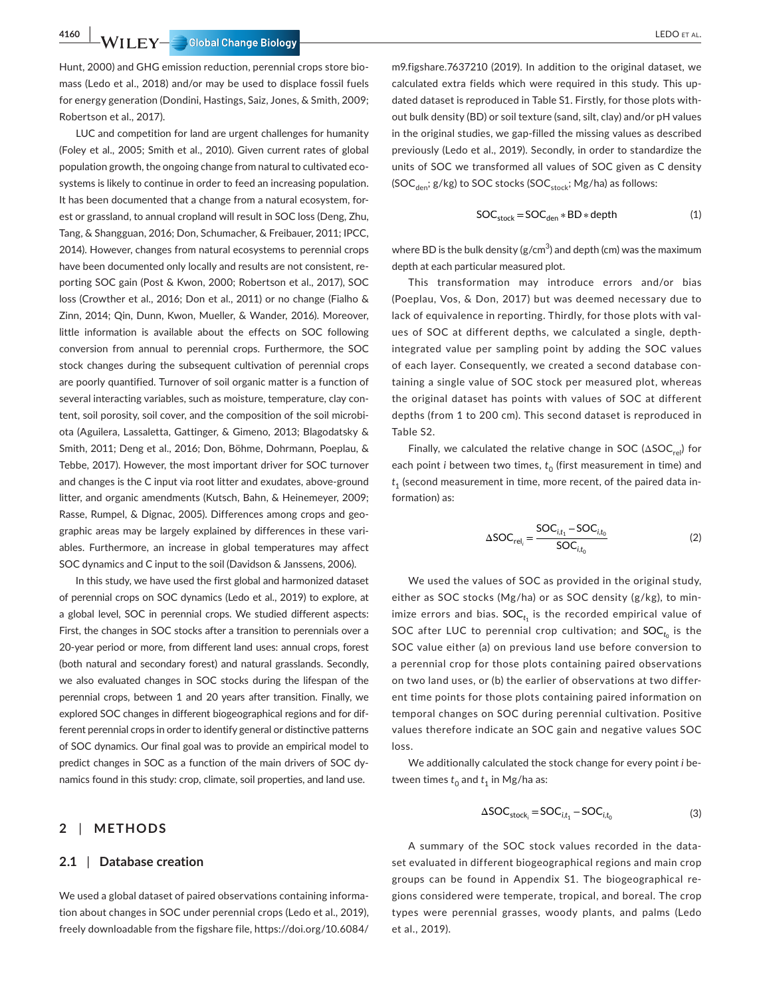# **4160 WILEY-COOPER COOPERAL**

Hunt, 2000) and GHG emission reduction, perennial crops store biomass (Ledo et al., 2018) and/or may be used to displace fossil fuels for energy generation (Dondini, Hastings, Saiz, Jones, & Smith, 2009; Robertson et al., 2017).

LUC and competition for land are urgent challenges for humanity (Foley et al., 2005; Smith et al., 2010). Given current rates of global population growth, the ongoing change from natural to cultivated ecosystems is likely to continue in order to feed an increasing population. It has been documented that a change from a natural ecosystem, forest or grassland, to annual cropland will result in SOC loss (Deng, Zhu, Tang, & Shangguan, 2016; Don, Schumacher, & Freibauer, 2011; IPCC, 2014). However, changes from natural ecosystems to perennial crops have been documented only locally and results are not consistent, reporting SOC gain (Post & Kwon, 2000; Robertson et al., 2017), SOC loss (Crowther et al., 2016; Don et al., 2011) or no change (Fialho & Zinn, 2014; Qin, Dunn, Kwon, Mueller, & Wander, 2016). Moreover, little information is available about the effects on SOC following conversion from annual to perennial crops. Furthermore, the SOC stock changes during the subsequent cultivation of perennial crops are poorly quantified. Turnover of soil organic matter is a function of several interacting variables, such as moisture, temperature, clay content, soil porosity, soil cover, and the composition of the soil microbiota (Aguilera, Lassaletta, Gattinger, & Gimeno, 2013; Blagodatsky & Smith, 2011; Deng et al., 2016; Don, Böhme, Dohrmann, Poeplau, & Tebbe, 2017). However, the most important driver for SOC turnover and changes is the C input via root litter and exudates, above-ground litter, and organic amendments (Kutsch, Bahn, & Heinemeyer, 2009; Rasse, Rumpel, & Dignac, 2005). Differences among crops and geographic areas may be largely explained by differences in these variables. Furthermore, an increase in global temperatures may affect SOC dynamics and C input to the soil (Davidson & Janssens, 2006).

In this study, we have used the first global and harmonized dataset of perennial crops on SOC dynamics (Ledo et al., 2019) to explore, at a global level, SOC in perennial crops. We studied different aspects: First, the changes in SOC stocks after a transition to perennials over a 20-year period or more, from different land uses: annual crops, forest (both natural and secondary forest) and natural grasslands. Secondly, we also evaluated changes in SOC stocks during the lifespan of the perennial crops, between 1 and 20 years after transition. Finally, we explored SOC changes in different biogeographical regions and for different perennial crops in order to identify general or distinctive patterns of SOC dynamics. Our final goal was to provide an empirical model to predict changes in SOC as a function of the main drivers of SOC dynamics found in this study: crop, climate, soil properties, and land use.

### **2** | **METHODS**

#### **2.1** | **Database creation**

We used a global dataset of paired observations containing information about changes in SOC under perennial crops (Ledo et al., 2019), freely downloadable from the figshare file, [https://doi.org/10.6084/](https://doi.org/10.6084/m9.figshare.7637210)

[m9.figshare.7637210](https://doi.org/10.6084/m9.figshare.7637210) (2019). In addition to the original dataset, we calculated extra fields which were required in this study. This updated dataset is reproduced in Table S1. Firstly, for those plots without bulk density (BD) or soil texture (sand, silt, clay) and/or pH values in the original studies, we gap-filled the missing values as described previously (Ledo et al., 2019). Secondly, in order to standardize the units of SOC we transformed all values of SOC given as C density (SOC<sub>den</sub>; g/kg) to SOC stocks (SOC<sub>stock</sub>; Mg/ha) as follows:

$$
SOC_{stock} = SOC_{den} * BD * depth
$$
 (1)

where BD is the bulk density (g/cm $3$ ) and depth (cm) was the maximum depth at each particular measured plot.

This transformation may introduce errors and/or bias (Poeplau, Vos, & Don, 2017) but was deemed necessary due to lack of equivalence in reporting. Thirdly, for those plots with values of SOC at different depths, we calculated a single, depthintegrated value per sampling point by adding the SOC values of each layer. Consequently, we created a second database containing a single value of SOC stock per measured plot, whereas the original dataset has points with values of SOC at different depths (from 1 to 200 cm). This second dataset is reproduced in Table S2.

Finally, we calculated the relative change in SOC ( $\triangle$ SOC<sub>rel</sub>) for each point *i* between two times,  $t_0$  (first measurement in time) and  $t_1$  (second measurement in time, more recent, of the paired data information) as:

$$
\Delta SOC_{rel_i} = \frac{SOC_{i,t_1} - SOC_{i,t_0}}{SOC_{i,t_0}}
$$
 (2)

We used the values of SOC as provided in the original study, either as SOC stocks (Mg/ha) or as SOC density (g/kg), to minimize errors and bias.  $\mathsf{SOC}_{t_1}$  is the recorded empirical value of SOC after LUC to perennial crop cultivation; and  $\mathsf{SOC}_{t_0}$  is the SOC value either (a) on previous land use before conversion to a perennial crop for those plots containing paired observations on two land uses, or (b) the earlier of observations at two different time points for those plots containing paired information on temporal changes on SOC during perennial cultivation. Positive values therefore indicate an SOC gain and negative values SOC loss.

We additionally calculated the stock change for every point *i* between times  $t_0$  and  $t_1$  in Mg/ha as:

$$
\Delta SOC_{stock_{i}} = SOC_{i,t_{1}} - SOC_{i,t_{0}} \tag{3}
$$

A summary of the SOC stock values recorded in the dataset evaluated in different biogeographical regions and main crop groups can be found in Appendix S1. The biogeographical regions considered were temperate, tropical, and boreal. The crop types were perennial grasses, woody plants, and palms (Ledo et al., 2019).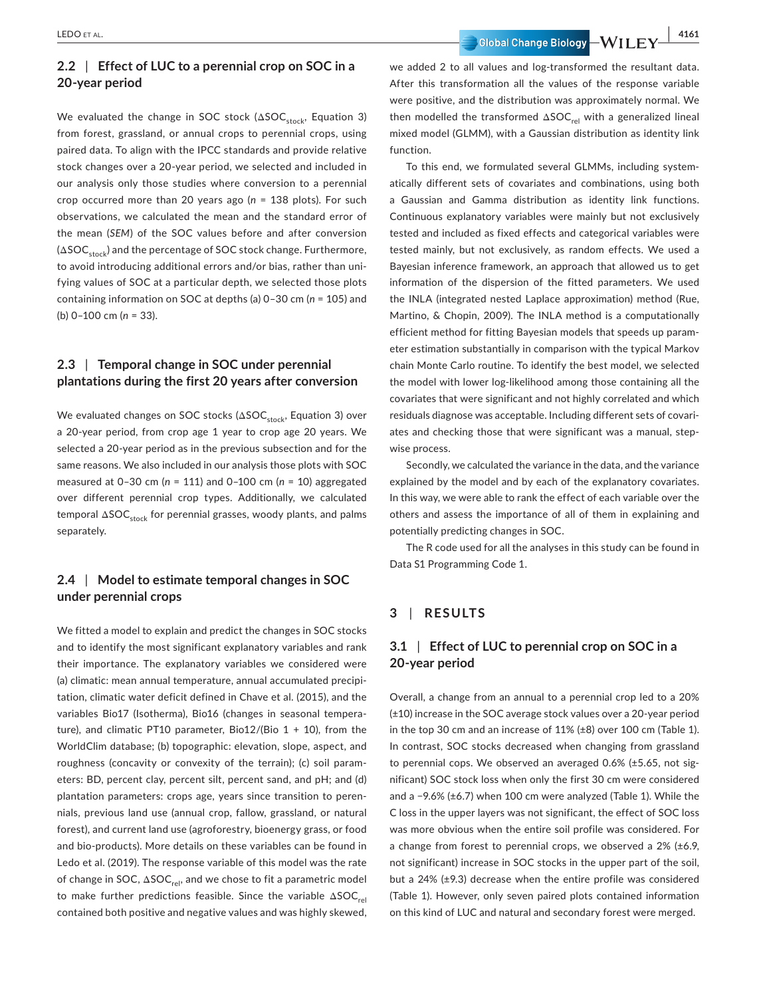# **2.2** | **Effect of LUC to a perennial crop on SOC in a 20-year period**

We evaluated the change in SOC stock ( $\Delta SOC$ <sub>stock</sub>, Equation 3) from forest, grassland, or annual crops to perennial crops, using paired data. To align with the IPCC standards and provide relative stock changes over a 20-year period, we selected and included in our analysis only those studies where conversion to a perennial crop occurred more than 20 years ago (*n* = 138 plots). For such observations, we calculated the mean and the standard error of the mean (*SEM*) of the SOC values before and after conversion  $(\Delta SOC_{\text{stock}})$  and the percentage of SOC stock change. Furthermore, to avoid introducing additional errors and/or bias, rather than unifying values of SOC at a particular depth, we selected those plots containing information on SOC at depths (a) 0–30 cm (*n* = 105) and (b) 0–100 cm (*n* = 33).

### **2.3** | **Temporal change in SOC under perennial plantations during the first 20 years after conversion**

We evaluated changes on SOC stocks ( $\Delta$ SOC<sub>stock</sub>, Equation 3) over a 20-year period, from crop age 1 year to crop age 20 years. We selected a 20-year period as in the previous subsection and for the same reasons. We also included in our analysis those plots with SOC measured at 0–30 cm (*n* = 111) and 0–100 cm (*n* = 10) aggregated over different perennial crop types. Additionally, we calculated temporal  $\Delta$ SOC<sub>stock</sub> for perennial grasses, woody plants, and palms separately.

### **2.4** | **Model to estimate temporal changes in SOC under perennial crops**

We fitted a model to explain and predict the changes in SOC stocks and to identify the most significant explanatory variables and rank their importance. The explanatory variables we considered were (a) climatic: mean annual temperature, annual accumulated precipitation, climatic water deficit defined in Chave et al. (2015), and the variables Bio17 (Isotherma), Bio16 (changes in seasonal temperature), and climatic PT10 parameter, Bio12/(Bio  $1 + 10$ ), from the WorldClim database; (b) topographic: elevation, slope, aspect, and roughness (concavity or convexity of the terrain); (c) soil parameters: BD, percent clay, percent silt, percent sand, and pH; and (d) plantation parameters: crops age, years since transition to perennials, previous land use (annual crop, fallow, grassland, or natural forest), and current land use (agroforestry, bioenergy grass, or food and bio-products). More details on these variables can be found in Ledo et al. (2019). The response variable of this model was the rate of change in SOC,  $\triangle SOC_{rel}$ , and we chose to fit a parametric model to make further predictions feasible. Since the variable  $\Delta SOC_{rel}$ contained both positive and negative values and was highly skewed,

LEDO et al.  **| 4161**

we added 2 to all values and log-transformed the resultant data. After this transformation all the values of the response variable were positive, and the distribution was approximately normal. We then modelled the transformed  $\Delta SOC_{rel}$  with a generalized lineal mixed model (GLMM), with a Gaussian distribution as identity link function.

To this end, we formulated several GLMMs, including systematically different sets of covariates and combinations, using both a Gaussian and Gamma distribution as identity link functions. Continuous explanatory variables were mainly but not exclusively tested and included as fixed effects and categorical variables were tested mainly, but not exclusively, as random effects. We used a Bayesian inference framework, an approach that allowed us to get information of the dispersion of the fitted parameters. We used the INLA (integrated nested Laplace approximation) method (Rue, Martino, & Chopin, 2009). The INLA method is a computationally efficient method for fitting Bayesian models that speeds up parameter estimation substantially in comparison with the typical Markov chain Monte Carlo routine. To identify the best model, we selected the model with lower log-likelihood among those containing all the covariates that were significant and not highly correlated and which residuals diagnose was acceptable. Including different sets of covariates and checking those that were significant was a manual, stepwise process.

Secondly, we calculated the variance in the data, and the variance explained by the model and by each of the explanatory covariates. In this way, we were able to rank the effect of each variable over the others and assess the importance of all of them in explaining and potentially predicting changes in SOC.

The R code used for all the analyses in this study can be found in Data S1 Programming Code 1.

# **3** | **RESULTS**

### **3.1** | **Effect of LUC to perennial crop on SOC in a 20-year period**

Overall, a change from an annual to a perennial crop led to a 20% (±10) increase in the SOC average stock values over a 20-year period in the top 30 cm and an increase of 11% (±8) over 100 cm (Table 1). In contrast, SOC stocks decreased when changing from grassland to perennial cops. We observed an averaged 0.6% (±5.65, not significant) SOC stock loss when only the first 30 cm were considered and a −9.6% (±6.7) when 100 cm were analyzed (Table 1). While the C loss in the upper layers was not significant, the effect of SOC loss was more obvious when the entire soil profile was considered. For a change from forest to perennial crops, we observed a 2% (±6.9, not significant) increase in SOC stocks in the upper part of the soil, but a 24% (±9.3) decrease when the entire profile was considered (Table 1). However, only seven paired plots contained information on this kind of LUC and natural and secondary forest were merged.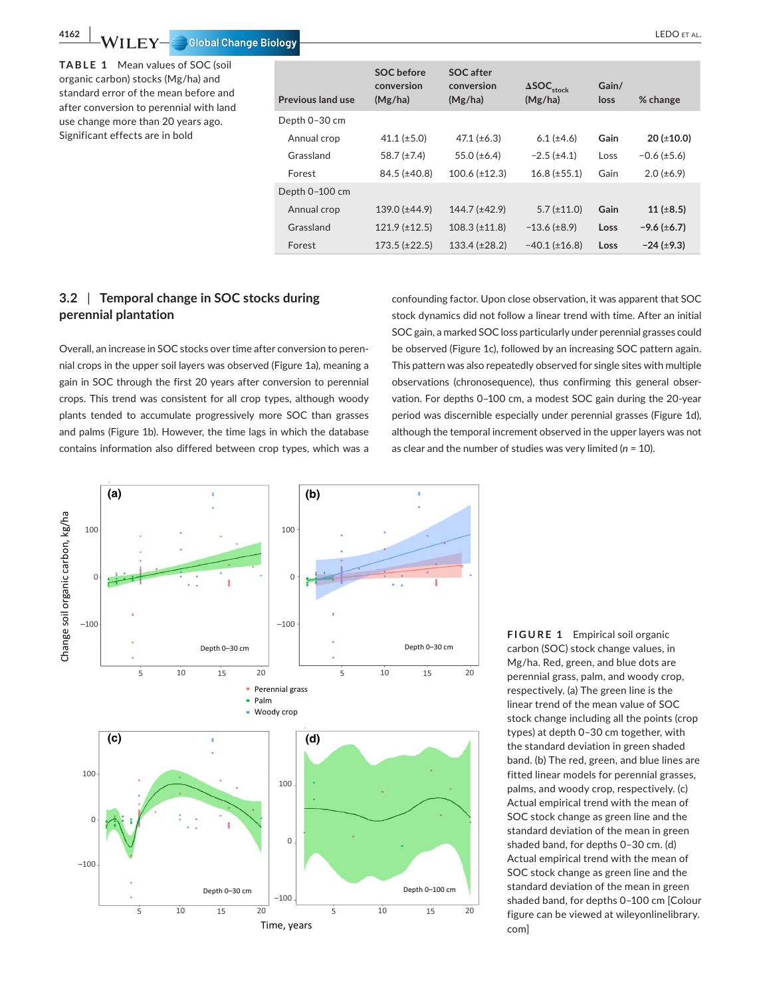**TABLE 1** Mean values of SOC (soil organic carbon) stocks (Mg/ha) and standard error of the mean before and after conversion to perennial with land use change more than 20 years ago. Significant effects are in bold

| <b>Previous land use</b> | <b>SOC</b> before<br>conversion<br>(Mg/ha) | SOC after<br>conversion<br>(Mg/ha) | $\Delta SOC$ <sub>stock</sub><br>(Mg/ha) | Gain/<br>loss | % change           |
|--------------------------|--------------------------------------------|------------------------------------|------------------------------------------|---------------|--------------------|
| Depth 0-30 cm            |                                            |                                    |                                          |               |                    |
| Annual crop              | 41.1 $(\pm 5.0)$                           | 47.1 $(\pm 6.3)$                   | $6.1 (\pm 4.6)$                          | Gain          | $20$ ( $\pm$ 10.0) |
| Grassland                | 58.7 $(\pm 7.4)$                           | 55.0 $(\pm 6.4)$                   | $-2.5$ ( $\pm 4.1$ )                     | Loss          | $-0.6 (\pm 5.6)$   |
| Forest                   | $84.5 (\pm 40.8)$                          | $100.6 (\pm 12.3)$                 | $16.8 (\pm 55.1)$                        | Gain          | $2.0 (\pm 6.9)$    |
| Depth 0-100 cm           |                                            |                                    |                                          |               |                    |
| Annual crop              | $139.0 (\pm 44.9)$                         | 144.7 (±42.9)                      | $5.7 (\pm 11.0)$                         | Gain          | 11 ( $\pm 8.5$ )   |
| Grassland                | $121.9 \ (\pm 12.5)$                       | $108.3 \ (\pm 11.8)$               | $-13.6 \ (\pm 8.9)$                      | Loss          | $-9.6 (\pm 6.7)$   |
| Forest                   | $173.5 (\pm 22.5)$                         | $133.4 (\pm 28.2)$                 | $-40.1 (\pm 16.8)$                       | Loss          | $-24$ ( $\pm$ 9.3) |

# **3.2** | **Temporal change in SOC stocks during perennial plantation**

Overall, an increase in SOC stocks over time after conversion to perennial crops in the upper soil layers was observed (Figure 1a), meaning a gain in SOC through the first 20 years after conversion to perennial crops. This trend was consistent for all crop types, although woody plants tended to accumulate progressively more SOC than grasses and palms (Figure 1b). However, the time lags in which the database contains information also differed between crop types, which was a

confounding factor. Upon close observation, it was apparent that SOC stock dynamics did not follow a linear trend with time. After an initial SOC gain, a marked SOC loss particularly under perennial grasses could be observed (Figure 1c), followed by an increasing SOC pattern again. This pattern was also repeatedly observed for single sites with multiple observations (chronosequence), thus confirming this general observation. For depths 0–100 cm, a modest SOC gain during the 20-year period was discernible especially under perennial grasses (Figure 1d), although the temporal increment observed in the upper layers was not as clear and the number of studies was very limited (*n* = 10).



**FIGURE 1** Empirical soil organic carbon (SOC) stock change values, in Mg/ha. Red, green, and blue dots are perennial grass, palm, and woody crop, respectively. (a) The green line is the linear trend of the mean value of SOC stock change including all the points (crop types) at depth 0–30 cm together, with the standard deviation in green shaded band. (b) The red, green, and blue lines are fitted linear models for perennial grasses, palms, and woody crop, respectively. (c) Actual empirical trend with the mean of SOC stock change as green line and the standard deviation of the mean in green shaded band, for depths 0–30 cm. (d) Actual empirical trend with the mean of SOC stock change as green line and the standard deviation of the mean in green shaded band, for depths 0–100 cm [Colour figure can be viewed at [wileyonlinelibrary.](www.wileyonlinelibrary.com) [com\]](www.wileyonlinelibrary.com)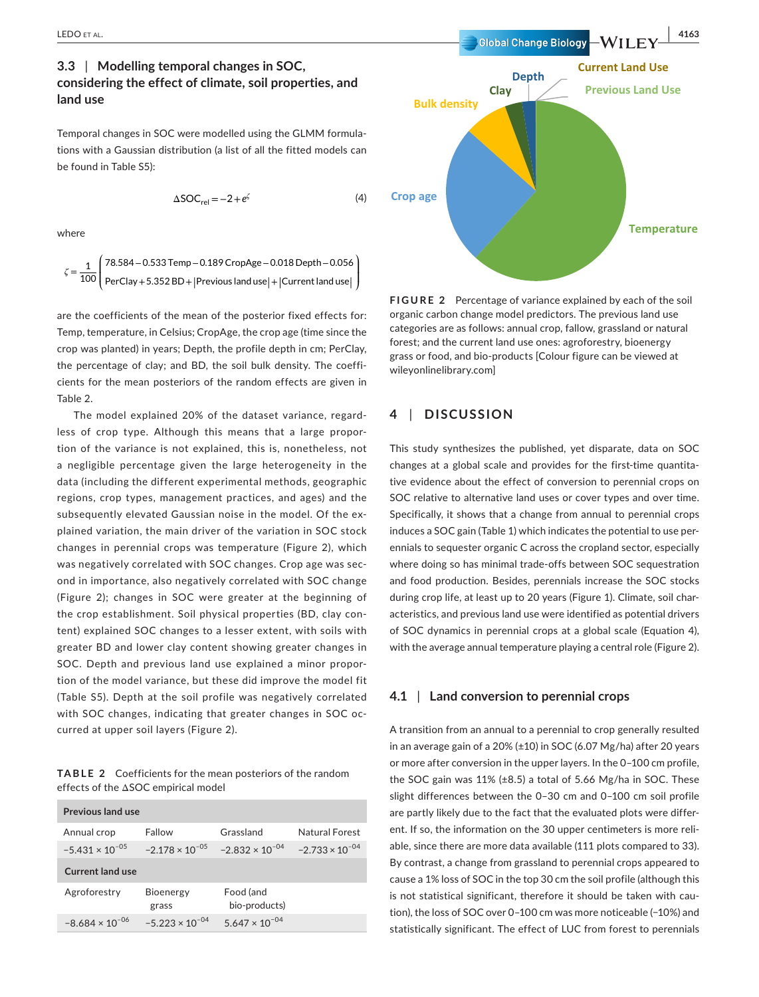# **3.3** | **Modelling temporal changes in SOC, considering the effect of climate, soil properties, and land use**

Temporal changes in SOC were modelled using the GLMM formulations with a Gaussian distribution (a list of all the fitted models can be found in Table S5):

$$
\Delta SOC_{rel} = -2 + e^{\zeta} \tag{4}
$$

where

$$
\zeta = \frac{1}{100} \left( \frac{78.584 - 0.533 \text{Temp} - 0.189 \text{ CropAge} - 0.018 \text{ Depth} - 0.056}{\text{PerClay} + 5.352 \text{ BD} + |\text{Previous land use}| + |\text{Current land use}|} \right)
$$

are the coefficients of the mean of the posterior fixed effects for: Temp, temperature, in Celsius; CropAge, the crop age (time since the crop was planted) in years; Depth, the profile depth in cm; PerClay, the percentage of clay; and BD, the soil bulk density. The coefficients for the mean posteriors of the random effects are given in Table 2.

The model explained 20% of the dataset variance, regardless of crop type. Although this means that a large proportion of the variance is not explained, this is, nonetheless, not a negligible percentage given the large heterogeneity in the data (including the different experimental methods, geographic regions, crop types, management practices, and ages) and the subsequently elevated Gaussian noise in the model. Of the explained variation, the main driver of the variation in SOC stock changes in perennial crops was temperature (Figure 2), which was negatively correlated with SOC changes. Crop age was second in importance, also negatively correlated with SOC change (Figure 2); changes in SOC were greater at the beginning of the crop establishment. Soil physical properties (BD, clay content) explained SOC changes to a lesser extent, with soils with greater BD and lower clay content showing greater changes in SOC. Depth and previous land use explained a minor proportion of the model variance, but these did improve the model fit (Table S5). Depth at the soil profile was negatively correlated with SOC changes, indicating that greater changes in SOC occurred at upper soil layers (Figure 2).

**TABLE 2** Coefficients for the mean posteriors of the random effects of the ΔSOC empirical model

| Previous land use        |                           |                            |                          |  |  |  |
|--------------------------|---------------------------|----------------------------|--------------------------|--|--|--|
| Annual crop              | Fallow                    | Grassland                  | Natural Forest           |  |  |  |
| $-5.431 \times 10^{-05}$ | $-2.178 \times 10^{-05}$  | $-2.832 \times 10^{-04}$   | $-2.733 \times 10^{-04}$ |  |  |  |
| <b>Current land use</b>  |                           |                            |                          |  |  |  |
| Agroforestry             | <b>Bioenergy</b><br>grass | Food (and<br>bio-products) |                          |  |  |  |
| $-8.684 \times 10^{-06}$ | $-5.223 \times 10^{-04}$  | $5.647 \times 10^{-04}$    |                          |  |  |  |



**FIGURE 2** Percentage of variance explained by each of the soil organic carbon change model predictors. The previous land use categories are as follows: annual crop, fallow, grassland or natural forest; and the current land use ones: agroforestry, bioenergy grass or food, and bio-products [Colour figure can be viewed at [wileyonlinelibrary.com\]](www.wileyonlinelibrary.com)

### **4** | **DISCUSSION**

This study synthesizes the published, yet disparate, data on SOC changes at a global scale and provides for the first-time quantitative evidence about the effect of conversion to perennial crops on SOC relative to alternative land uses or cover types and over time. Specifically, it shows that a change from annual to perennial crops induces a SOC gain (Table 1) which indicates the potential to use perennials to sequester organic C across the cropland sector, especially where doing so has minimal trade-offs between SOC sequestration and food production. Besides, perennials increase the SOC stocks during crop life, at least up to 20 years (Figure 1). Climate, soil characteristics, and previous land use were identified as potential drivers of SOC dynamics in perennial crops at a global scale (Equation 4), with the average annual temperature playing a central role (Figure 2).

#### **4.1** | **Land conversion to perennial crops**

A transition from an annual to a perennial to crop generally resulted in an average gain of a 20% (±10) in SOC (6.07 Mg/ha) after 20 years or more after conversion in the upper layers. In the 0–100 cm profile, the SOC gain was 11% (±8.5) a total of 5.66 Mg/ha in SOC. These slight differences between the 0–30 cm and 0–100 cm soil profile are partly likely due to the fact that the evaluated plots were different. If so, the information on the 30 upper centimeters is more reliable, since there are more data available (111 plots compared to 33). By contrast, a change from grassland to perennial crops appeared to cause a 1% loss of SOC in the top 30 cm the soil profile (although this is not statistical significant, therefore it should be taken with caution), the loss of SOC over 0–100 cm was more noticeable (−10%) and statistically significant. The effect of LUC from forest to perennials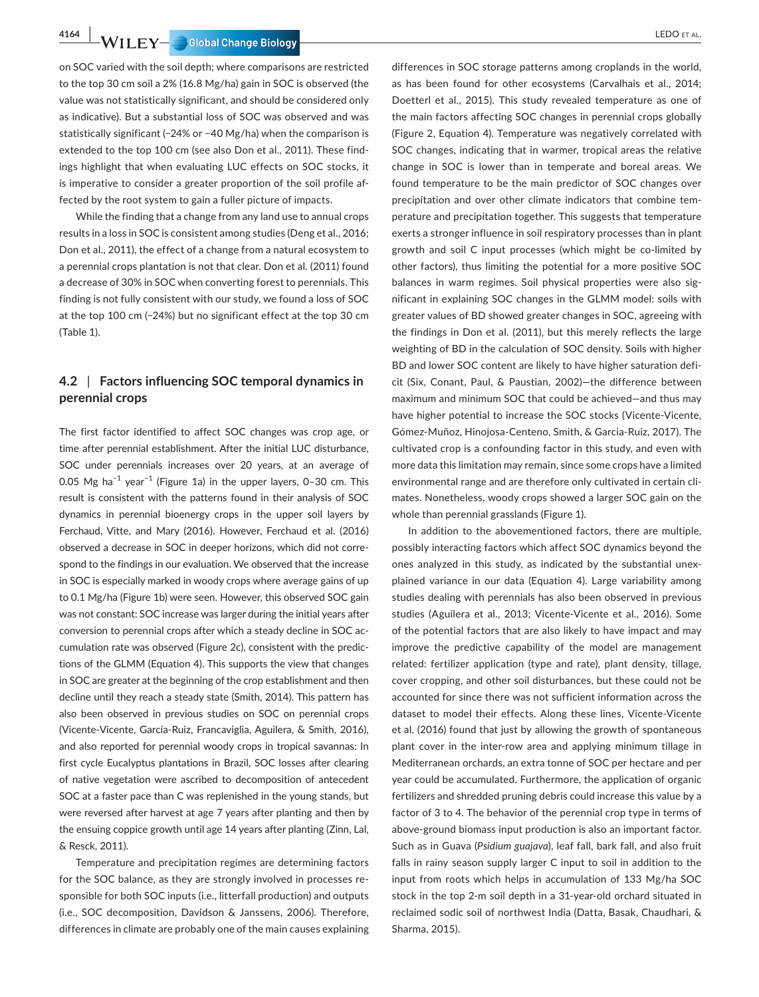**4164** LEDO et al. **|** 

on SOC varied with the soil depth; where comparisons are restricted to the top 30 cm soil a 2% (16.8 Mg/ha) gain in SOC is observed (the value was not statistically significant, and should be considered only as indicative). But a substantial loss of SOC was observed and was statistically significant (−24% or −40 Mg/ha) when the comparison is extended to the top 100 cm (see also Don et al., 2011). These findings highlight that when evaluating LUC effects on SOC stocks, it is imperative to consider a greater proportion of the soil profile affected by the root system to gain a fuller picture of impacts.

While the finding that a change from any land use to annual crops results in a loss in SOC is consistent among studies (Deng et al., 2016; Don et al., 2011), the effect of a change from a natural ecosystem to a perennial crops plantation is not that clear. Don et al. (2011) found a decrease of 30% in SOC when converting forest to perennials. This finding is not fully consistent with our study, we found a loss of SOC at the top 100 cm (−24%) but no significant effect at the top 30 cm (Table 1).

### **4.2** | **Factors influencing SOC temporal dynamics in perennial crops**

The first factor identified to affect SOC changes was crop age, or time after perennial establishment. After the initial LUC disturbance, SOC under perennials increases over 20 years, at an average of 0.05 Mg ha<sup>-1</sup> year<sup>-1</sup> (Figure 1a) in the upper layers, 0–30 cm. This result is consistent with the patterns found in their analysis of SOC dynamics in perennial bioenergy crops in the upper soil layers by Ferchaud, Vitte, and Mary (2016). However, Ferchaud et al. (2016) observed a decrease in SOC in deeper horizons, which did not correspond to the findings in our evaluation. We observed that the increase in SOC is especially marked in woody crops where average gains of up to 0.1 Mg/ha (Figure 1b) were seen. However, this observed SOC gain was not constant: SOC increase was larger during the initial years after conversion to perennial crops after which a steady decline in SOC accumulation rate was observed (Figure 2c), consistent with the predictions of the GLMM (Equation 4). This supports the view that changes in SOC are greater at the beginning of the crop establishment and then decline until they reach a steady state (Smith, 2014). This pattern has also been observed in previous studies on SOC on perennial crops (Vicente-Vicente, García-Ruiz, Francaviglia, Aguilera, & Smith, 2016), and also reported for perennial woody crops in tropical savannas: In first cycle Eucalyptus plantations in Brazil, SOC losses after clearing of native vegetation were ascribed to decomposition of antecedent SOC at a faster pace than C was replenished in the young stands, but were reversed after harvest at age 7 years after planting and then by the ensuing coppice growth until age 14 years after planting (Zinn, Lal, & Resck, 2011).

Temperature and precipitation regimes are determining factors for the SOC balance, as they are strongly involved in processes responsible for both SOC inputs (i.e., litterfall production) and outputs (i.e., SOC decomposition, Davidson & Janssens, 2006). Therefore, differences in climate are probably one of the main causes explaining

differences in SOC storage patterns among croplands in the world, as has been found for other ecosystems (Carvalhais et al., 2014; Doetterl et al., 2015). This study revealed temperature as one of the main factors affecting SOC changes in perennial crops globally (Figure 2, Equation 4). Temperature was negatively correlated with SOC changes, indicating that in warmer, tropical areas the relative change in SOC is lower than in temperate and boreal areas. We found temperature to be the main predictor of SOC changes over precipitation and over other climate indicators that combine temperature and precipitation together. This suggests that temperature exerts a stronger influence in soil respiratory processes than in plant growth and soil C input processes (which might be co-limited by other factors), thus limiting the potential for a more positive SOC balances in warm regimes. Soil physical properties were also significant in explaining SOC changes in the GLMM model: soils with greater values of BD showed greater changes in SOC, agreeing with the findings in Don et al. (2011), but this merely reflects the large weighting of BD in the calculation of SOC density. Soils with higher BD and lower SOC content are likely to have higher saturation deficit (Six, Conant, Paul, & Paustian, 2002)—the difference between maximum and minimum SOC that could be achieved—and thus may have higher potential to increase the SOC stocks (Vicente-Vicente, Gómez-Muñoz, Hinojosa-Centeno, Smith, & Garcia-Ruiz, 2017). The cultivated crop is a confounding factor in this study, and even with more data this limitation may remain, since some crops have a limited environmental range and are therefore only cultivated in certain climates. Nonetheless, woody crops showed a larger SOC gain on the whole than perennial grasslands (Figure 1).

In addition to the abovementioned factors, there are multiple, possibly interacting factors which affect SOC dynamics beyond the ones analyzed in this study, as indicated by the substantial unexplained variance in our data (Equation 4). Large variability among studies dealing with perennials has also been observed in previous studies (Aguilera et al., 2013; Vicente-Vicente et al., 2016). Some of the potential factors that are also likely to have impact and may improve the predictive capability of the model are management related: fertilizer application (type and rate), plant density, tillage, cover cropping, and other soil disturbances, but these could not be accounted for since there was not sufficient information across the dataset to model their effects. Along these lines, Vicente-Vicente et al. (2016) found that just by allowing the growth of spontaneous plant cover in the inter-row area and applying minimum tillage in Mediterranean orchards, an extra tonne of SOC per hectare and per year could be accumulated. Furthermore, the application of organic fertilizers and shredded pruning debris could increase this value by a factor of 3 to 4. The behavior of the perennial crop type in terms of above-ground biomass input production is also an important factor. Such as in Guava (*Psidium guajava*), leaf fall, bark fall, and also fruit falls in rainy season supply larger C input to soil in addition to the input from roots which helps in accumulation of 133 Mg/ha SOC stock in the top 2-m soil depth in a 31-year-old orchard situated in reclaimed sodic soil of northwest India (Datta, Basak, Chaudhari, & Sharma, 2015).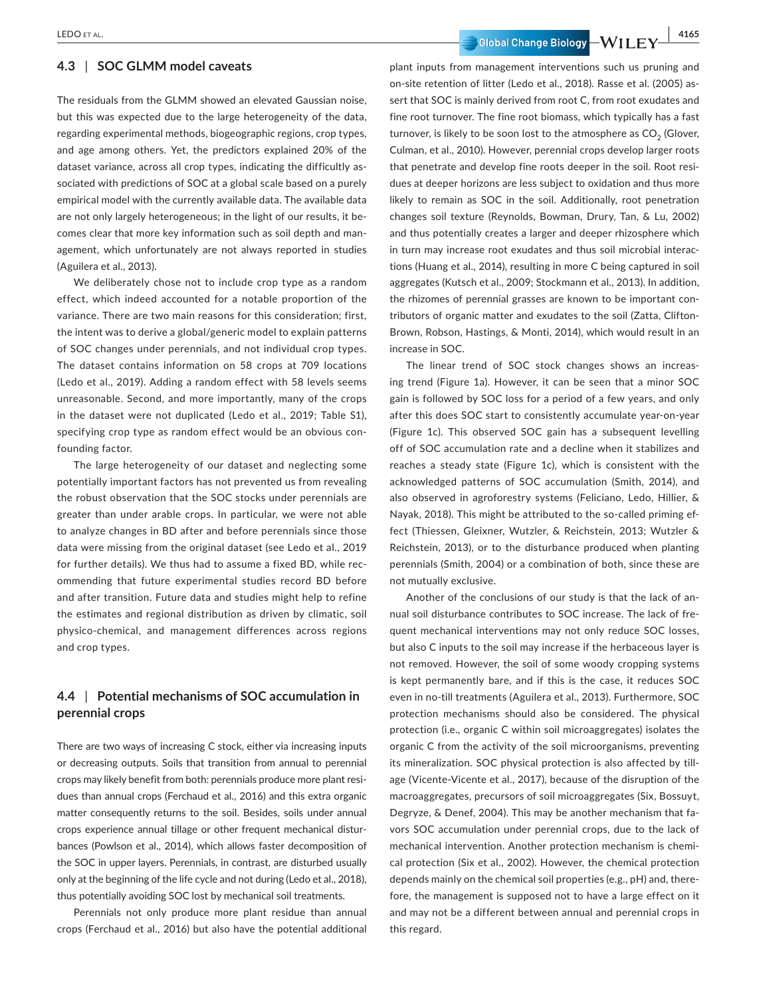### **4.3** | **SOC GLMM model caveats**

The residuals from the GLMM showed an elevated Gaussian noise, but this was expected due to the large heterogeneity of the data, regarding experimental methods, biogeographic regions, crop types, and age among others. Yet, the predictors explained 20% of the dataset variance, across all crop types, indicating the difficultly associated with predictions of SOC at a global scale based on a purely empirical model with the currently available data. The available data are not only largely heterogeneous; in the light of our results, it becomes clear that more key information such as soil depth and management, which unfortunately are not always reported in studies (Aguilera et al., 2013).

We deliberately chose not to include crop type as a random effect, which indeed accounted for a notable proportion of the variance. There are two main reasons for this consideration; first, the intent was to derive a global/generic model to explain patterns of SOC changes under perennials, and not individual crop types. The dataset contains information on 58 crops at 709 locations (Ledo et al., 2019). Adding a random effect with 58 levels seems unreasonable. Second, and more importantly, many of the crops in the dataset were not duplicated (Ledo et al., 2019; Table S1), specifying crop type as random effect would be an obvious confounding factor.

The large heterogeneity of our dataset and neglecting some potentially important factors has not prevented us from revealing the robust observation that the SOC stocks under perennials are greater than under arable crops. In particular, we were not able to analyze changes in BD after and before perennials since those data were missing from the original dataset (see Ledo et al., 2019 for further details). We thus had to assume a fixed BD, while recommending that future experimental studies record BD before and after transition. Future data and studies might help to refine the estimates and regional distribution as driven by climatic, soil physico-chemical, and management differences across regions and crop types.

### **4.4** | **Potential mechanisms of SOC accumulation in perennial crops**

There are two ways of increasing C stock, either via increasing inputs or decreasing outputs. Soils that transition from annual to perennial crops may likely benefit from both: perennials produce more plant residues than annual crops (Ferchaud et al., 2016) and this extra organic matter consequently returns to the soil. Besides, soils under annual crops experience annual tillage or other frequent mechanical disturbances (Powlson et al., 2014), which allows faster decomposition of the SOC in upper layers. Perennials, in contrast, are disturbed usually only at the beginning of the life cycle and not during (Ledo et al., 2018), thus potentially avoiding SOC lost by mechanical soil treatments.

Perennials not only produce more plant residue than annual crops (Ferchaud et al., 2016) but also have the potential additional

LEDO ET AL. **And Experiment LEDO ET AL. 4165** Global Change Biology  $-WII$  ,  $EY \stackrel{\underline{A465}}{=} 0$ 

plant inputs from management interventions such us pruning and on-site retention of litter (Ledo et al., 2018). Rasse et al. (2005) assert that SOC is mainly derived from root C, from root exudates and fine root turnover. The fine root biomass, which typically has a fast turnover, is likely to be soon lost to the atmosphere as  $CO<sub>2</sub>$  (Glover, Culman, et al., 2010). However, perennial crops develop larger roots that penetrate and develop fine roots deeper in the soil. Root residues at deeper horizons are less subject to oxidation and thus more likely to remain as SOC in the soil. Additionally, root penetration changes soil texture (Reynolds, Bowman, Drury, Tan, & Lu, 2002) and thus potentially creates a larger and deeper rhizosphere which in turn may increase root exudates and thus soil microbial interactions (Huang et al., 2014), resulting in more C being captured in soil aggregates (Kutsch et al., 2009; Stockmann et al., 2013). In addition, the rhizomes of perennial grasses are known to be important contributors of organic matter and exudates to the soil (Zatta, Clifton-Brown, Robson, Hastings, & Monti, 2014), which would result in an increase in SOC.

The linear trend of SOC stock changes shows an increasing trend (Figure 1a). However, it can be seen that a minor SOC gain is followed by SOC loss for a period of a few years, and only after this does SOC start to consistently accumulate year-on-year (Figure 1c). This observed SOC gain has a subsequent levelling off of SOC accumulation rate and a decline when it stabilizes and reaches a steady state (Figure 1c), which is consistent with the acknowledged patterns of SOC accumulation (Smith, 2014), and also observed in agroforestry systems (Feliciano, Ledo, Hillier, & Nayak, 2018). This might be attributed to the so-called priming effect (Thiessen, Gleixner, Wutzler, & Reichstein, 2013; Wutzler & Reichstein, 2013), or to the disturbance produced when planting perennials (Smith, 2004) or a combination of both, since these are not mutually exclusive.

Another of the conclusions of our study is that the lack of annual soil disturbance contributes to SOC increase. The lack of frequent mechanical interventions may not only reduce SOC losses, but also C inputs to the soil may increase if the herbaceous layer is not removed. However, the soil of some woody cropping systems is kept permanently bare, and if this is the case, it reduces SOC even in no-till treatments (Aguilera et al., 2013). Furthermore, SOC protection mechanisms should also be considered. The physical protection (i.e., organic C within soil microaggregates) isolates the organic C from the activity of the soil microorganisms, preventing its mineralization. SOC physical protection is also affected by tillage (Vicente-Vicente et al., 2017), because of the disruption of the macroaggregates, precursors of soil microaggregates (Six, Bossuyt, Degryze, & Denef, 2004). This may be another mechanism that favors SOC accumulation under perennial crops, due to the lack of mechanical intervention. Another protection mechanism is chemical protection (Six et al., 2002). However, the chemical protection depends mainly on the chemical soil properties (e.g., pH) and, therefore, the management is supposed not to have a large effect on it and may not be a different between annual and perennial crops in this regard.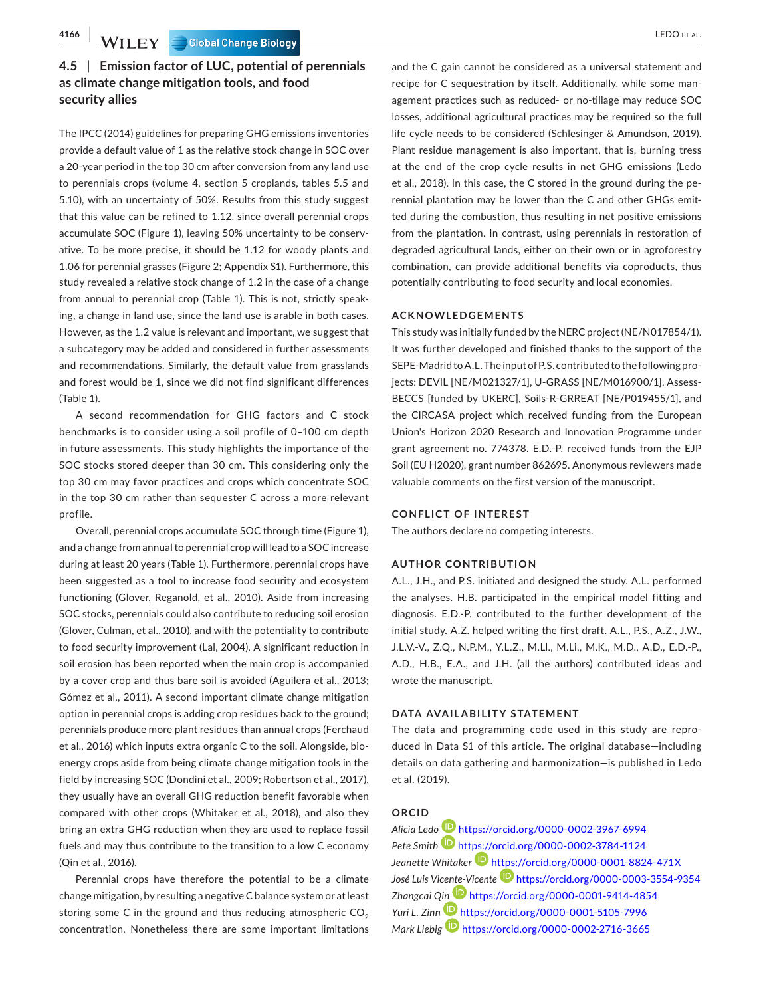**4166** LEDO et al. **|** 

# **4.5** | **Emission factor of LUC, potential of perennials as climate change mitigation tools, and food security allies**

The IPCC (2014) guidelines for preparing GHG emissions inventories provide a default value of 1 as the relative stock change in SOC over a 20-year period in the top 30 cm after conversion from any land use to perennials crops (volume 4, section 5 croplands, tables 5.5 and 5.10), with an uncertainty of 50%. Results from this study suggest that this value can be refined to 1.12, since overall perennial crops accumulate SOC (Figure 1), leaving 50% uncertainty to be conservative. To be more precise, it should be 1.12 for woody plants and 1.06 for perennial grasses (Figure 2; Appendix S1). Furthermore, this study revealed a relative stock change of 1.2 in the case of a change from annual to perennial crop (Table 1). This is not, strictly speaking, a change in land use, since the land use is arable in both cases. However, as the 1.2 value is relevant and important, we suggest that a subcategory may be added and considered in further assessments and recommendations. Similarly, the default value from grasslands and forest would be 1, since we did not find significant differences (Table 1).

A second recommendation for GHG factors and C stock benchmarks is to consider using a soil profile of 0–100 cm depth in future assessments. This study highlights the importance of the SOC stocks stored deeper than 30 cm. This considering only the top 30 cm may favor practices and crops which concentrate SOC in the top 30 cm rather than sequester C across a more relevant profile.

Overall, perennial crops accumulate SOC through time (Figure 1), and a change from annual to perennial crop will lead to a SOC increase during at least 20 years (Table 1). Furthermore, perennial crops have been suggested as a tool to increase food security and ecosystem functioning (Glover, Reganold, et al., 2010). Aside from increasing SOC stocks, perennials could also contribute to reducing soil erosion (Glover, Culman, et al., 2010), and with the potentiality to contribute to food security improvement (Lal, 2004). A significant reduction in soil erosion has been reported when the main crop is accompanied by a cover crop and thus bare soil is avoided (Aguilera et al., 2013; Gómez et al., 2011). A second important climate change mitigation option in perennial crops is adding crop residues back to the ground; perennials produce more plant residues than annual crops (Ferchaud et al., 2016) which inputs extra organic C to the soil. Alongside, bioenergy crops aside from being climate change mitigation tools in the field by increasing SOC (Dondini et al., 2009; Robertson et al., 2017), they usually have an overall GHG reduction benefit favorable when compared with other crops (Whitaker et al., 2018), and also they bring an extra GHG reduction when they are used to replace fossil fuels and may thus contribute to the transition to a low C economy (Qin et al., 2016).

Perennial crops have therefore the potential to be a climate change mitigation, by resulting a negative C balance system or at least storing some C in the ground and thus reducing atmospheric  $CO<sub>2</sub>$ concentration. Nonetheless there are some important limitations

and the C gain cannot be considered as a universal statement and recipe for C sequestration by itself. Additionally, while some management practices such as reduced- or no-tillage may reduce SOC losses, additional agricultural practices may be required so the full life cycle needs to be considered (Schlesinger & Amundson, 2019). Plant residue management is also important, that is, burning tress at the end of the crop cycle results in net GHG emissions (Ledo et al., 2018). In this case, the C stored in the ground during the perennial plantation may be lower than the C and other GHGs emitted during the combustion, thus resulting in net positive emissions from the plantation. In contrast, using perennials in restoration of degraded agricultural lands, either on their own or in agroforestry combination, can provide additional benefits via coproducts, thus potentially contributing to food security and local economies.

### **ACKNOWLEDGEMENTS**

This study was initially funded by the NERC project (NE/N017854/1). It was further developed and finished thanks to the support of the SEPE-Madrid to A.L. The input of P.S. contributed to the following projects: DEVIL [NE/M021327/1], U-GRASS [NE/M016900/1], Assess-BECCS [funded by UKERC], Soils-R-GRREAT [NE/P019455/1], and the CIRCASA project which received funding from the European Union's Horizon 2020 Research and Innovation Programme under grant agreement no. 774378. E.D.-P. received funds from the EJP Soil (EU H2020), grant number 862695. Anonymous reviewers made valuable comments on the first version of the manuscript.

#### **CONFLICT OF INTEREST**

The authors declare no competing interests.

#### **AUTHOR CONTRIBUTION**

A.L., J.H., and P.S. initiated and designed the study. A.L. performed the analyses. H.B. participated in the empirical model fitting and diagnosis. E.D.-P. contributed to the further development of the initial study. A.Z. helped writing the first draft. A.L., P.S., A.Z., J.W., J.L.V.-V., Z.Q., N.P.M., Y.L.Z., M.Ll., M.Li., M.K., M.D., A.D., E.D.-P., A.D., H.B., E.A., and J.H. (all the authors) contributed ideas and wrote the manuscript.

#### **DATA AVAILABILITY STATEMENT**

The data and programming code used in this study are reproduced in Data S1 of this article. The original database—including details on data gathering and harmonization—is published in Ledo et al. (2019).

# **ORCID**

*Alicia Led[o](https://orcid.org/0000-0002-3967-6994)* <https://orcid.org/0000-0002-3967-6994> *Pete Smith* <https://orcid.org/0000-0002-3784-1124> Jeanette Whitaker<sup>D</sup> <https://orcid.org/0000-0001-8824-471X> *José Luis Vice[nte-V](https://orcid.org/0000-0001-9414-4854)icente* <https://orcid.org/0000-0003-3554-9354> *Zhangcai [Qin](https://orcid.org/0000-0001-5105-7996)* <https://orcid.org/0000-0001-9414-4854> *Yuri L. Zinn* <https://orcid.org/0000-0001-5105-7996> *Mark Liebig* <https://orcid.org/0000-0002-2716-3665>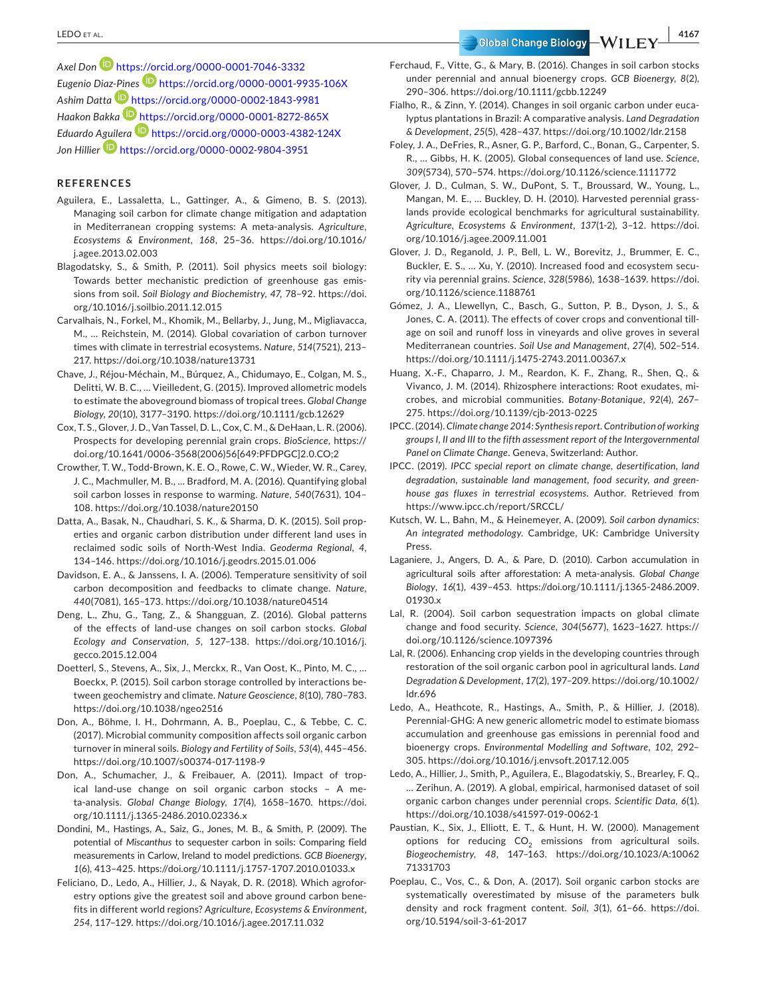*Axel Don* <https://orcid.org/0000-0001-7046-3332> *Eugenio Dia[z-Pine](https://orcid.org/0000-0002-1843-9981)s* <https://orcid.org/0000-0001-9935-106X> *Ashim Datta* <https://orcid.org/0000-0002-1843-9981> *Haakon Bakka* <https://orcid.org/0000-0001-8272-865X> *Eduardo [Aguile](https://orcid.org/0000-0002-9804-3951)ra* <https://orcid.org/0000-0003-4382-124X> *Jon Hillier* <https://orcid.org/0000-0002-9804-3951>

#### **REFERENCES**

- Aguilera, E., Lassaletta, L., Gattinger, A., & Gimeno, B. S. (2013). Managing soil carbon for climate change mitigation and adaptation in Mediterranean cropping systems: A meta-analysis. *Agriculture, Ecosystems & Environment*, *168*, 25–36. [https://doi.org/10.1016/](https://doi.org/10.1016/j.agee.2013.02.003) [j.agee.2013.02.003](https://doi.org/10.1016/j.agee.2013.02.003)
- Blagodatsky, S., & Smith, P. (2011). Soil physics meets soil biology: Towards better mechanistic prediction of greenhouse gas emissions from soil. *Soil Biology and Biochemistry*, *47*, 78–92. [https://doi.](https://doi.org/10.1016/j.soilbio.2011.12.015) [org/10.1016/j.soilbio.2011.12.015](https://doi.org/10.1016/j.soilbio.2011.12.015)
- Carvalhais, N., Forkel, M., Khomik, M., Bellarby, J., Jung, M., Migliavacca, M., … Reichstein, M. (2014). Global covariation of carbon turnover times with climate in terrestrial ecosystems. *Nature*, *514*(7521), 213– 217. <https://doi.org/10.1038/nature13731>
- Chave, J., Réjou-Méchain, M., Búrquez, A., Chidumayo, E., Colgan, M. S., Delitti, W. B. C., … Vieilledent, G. (2015). Improved allometric models to estimate the aboveground biomass of tropical trees. *Global Change Biology*, *20*(10), 3177–3190.<https://doi.org/10.1111/gcb.12629>
- Cox, T. S., Glover, J. D., Van Tassel, D. L., Cox, C. M., & DeHaan, L. R. (2006). Prospects for developing perennial grain crops. *BioScience*, [https://](https://doi.org/10.1641/0006-3568(2006)56%5B649:PFDPGC%5D2.0.CO;2) [doi.org/10.1641/0006-3568\(2006\)56\[649:PFDPGC\]2.0.CO;2](https://doi.org/10.1641/0006-3568(2006)56%5B649:PFDPGC%5D2.0.CO;2)
- Crowther, T. W., Todd-Brown, K. E. O., Rowe, C. W., Wieder, W. R., Carey, J. C., Machmuller, M. B., … Bradford, M. A. (2016). Quantifying global soil carbon losses in response to warming. *Nature*, *540*(7631), 104– 108. <https://doi.org/10.1038/nature20150>
- Datta, A., Basak, N., Chaudhari, S. K., & Sharma, D. K. (2015). Soil properties and organic carbon distribution under different land uses in reclaimed sodic soils of North-West India. *Geoderma Regional*, *4*, 134–146. <https://doi.org/10.1016/j.geodrs.2015.01.006>
- Davidson, E. A., & Janssens, I. A. (2006). Temperature sensitivity of soil carbon decomposition and feedbacks to climate change. *Nature*, *440*(7081), 165–173.<https://doi.org/10.1038/nature04514>
- Deng, L., Zhu, G., Tang, Z., & Shangguan, Z. (2016). Global patterns of the effects of land-use changes on soil carbon stocks. *Global Ecology and Conservation*, *5*, 127–138. [https://doi.org/10.1016/j.](https://doi.org/10.1016/j.gecco.2015.12.004) [gecco.2015.12.004](https://doi.org/10.1016/j.gecco.2015.12.004)
- Doetterl, S., Stevens, A., Six, J., Merckx, R., Van Oost, K., Pinto, M. C., … Boeckx, P. (2015). Soil carbon storage controlled by interactions between geochemistry and climate. *Nature Geoscience*, *8*(10), 780–783. <https://doi.org/10.1038/ngeo2516>
- Don, A., Böhme, I. H., Dohrmann, A. B., Poeplau, C., & Tebbe, C. C. (2017). Microbial community composition affects soil organic carbon turnover in mineral soils. *Biology and Fertility of Soils*, *53*(4), 445–456. <https://doi.org/10.1007/s00374-017-1198-9>
- Don, A., Schumacher, J., & Freibauer, A. (2011). Impact of tropical land-use change on soil organic carbon stocks – A meta-analysis. *Global Change Biology*, *17*(4), 1658–1670. [https://doi.](https://doi.org/10.1111/j.1365-2486.2010.02336.x) [org/10.1111/j.1365-2486.2010.02336.x](https://doi.org/10.1111/j.1365-2486.2010.02336.x)
- Dondini, M., Hastings, A., Saiz, G., Jones, M. B., & Smith, P. (2009). The potential of *Miscanthus* to sequester carbon in soils: Comparing field measurements in Carlow, Ireland to model predictions. *GCB Bioenergy*, *1*(6), 413–425.<https://doi.org/10.1111/j.1757-1707.2010.01033.x>
- Feliciano, D., Ledo, A., Hillier, J., & Nayak, D. R. (2018). Which agroforestry options give the greatest soil and above ground carbon benefits in different world regions? *Agriculture, Ecosystems & Environment*, *254*, 117–129. <https://doi.org/10.1016/j.agee.2017.11.032>
- Ferchaud, F., Vitte, G., & Mary, B. (2016). Changes in soil carbon stocks under perennial and annual bioenergy crops. *GCB Bioenergy*, *8*(2), 290–306. <https://doi.org/10.1111/gcbb.12249>
- Fialho, R., & Zinn, Y. (2014). Changes in soil organic carbon under eucalyptus plantations in Brazil: A comparative analysis. *Land Degradation & Development*, *25*(5), 428–437.<https://doi.org/10.1002/ldr.2158>
- Foley, J. A., DeFries, R., Asner, G. P., Barford, C., Bonan, G., Carpenter, S. R., … Gibbs, H. K. (2005). Global consequences of land use. *Science*, *309*(5734), 570–574.<https://doi.org/10.1126/science.1111772>
- Glover, J. D., Culman, S. W., DuPont, S. T., Broussard, W., Young, L., Mangan, M. E., … Buckley, D. H. (2010). Harvested perennial grasslands provide ecological benchmarks for agricultural sustainability. *Agriculture, Ecosystems & Environment*, *137*(1-2), 3–12. [https://doi.](https://doi.org/10.1016/j.agee.2009.11.001) [org/10.1016/j.agee.2009.11.001](https://doi.org/10.1016/j.agee.2009.11.001)
- Glover, J. D., Reganold, J. P., Bell, L. W., Borevitz, J., Brummer, E. C., Buckler, E. S., … Xu, Y. (2010). Increased food and ecosystem security via perennial grains. *Science*, *328*(5986), 1638–1639. [https://doi.](https://doi.org/10.1126/science.1188761) [org/10.1126/science.1188761](https://doi.org/10.1126/science.1188761)
- Gómez, J. A., Llewellyn, C., Basch, G., Sutton, P. B., Dyson, J. S., & Jones, C. A. (2011). The effects of cover crops and conventional tillage on soil and runoff loss in vineyards and olive groves in several Mediterranean countries. *Soil Use and Management*, *27*(4), 502–514. <https://doi.org/10.1111/j.1475-2743.2011.00367.x>
- Huang, X.-F., Chaparro, J. M., Reardon, K. F., Zhang, R., Shen, Q., & Vivanco, J. M. (2014). Rhizosphere interactions: Root exudates, microbes, and microbial communities. *Botany-Botanique*, *92*(4), 267– 275.<https://doi.org/10.1139/cjb-2013-0225>
- IPCC. (2014). *Climate change 2014: Synthesis report. Contribution of working groups I, II and III to the fifth assessment report of the Intergovernmental Panel on Climate Change*. Geneva, Switzerland: Author.
- IPCC. (2019). *IPCC special report on climate change, desertification, land degradation, sustainable land management, food security, and greenhouse gas fluxes in terrestrial ecosystems*. Author. Retrieved from <https://www.ipcc.ch/report/SRCCL/>
- Kutsch, W. L., Bahn, M., & Heinemeyer, A. (2009). *Soil carbon dynamics: An integrated methodology*. Cambridge, UK: Cambridge University Press.
- Laganiere, J., Angers, D. A., & Pare, D. (2010). Carbon accumulation in agricultural soils after afforestation: A meta-analysis. *Global Change Biology*, *16*(1), 439–453. [https://doi.org/10.1111/j.1365-2486.2009.](https://doi.org/10.1111/j.1365-2486.2009.01930.x) [01930.x](https://doi.org/10.1111/j.1365-2486.2009.01930.x)
- Lal, R. (2004). Soil carbon sequestration impacts on global climate change and food security. *Science*, *304*(5677), 1623–1627. [https://](https://doi.org/10.1126/science.1097396) [doi.org/10.1126/science.1097396](https://doi.org/10.1126/science.1097396)
- Lal, R. (2006). Enhancing crop yields in the developing countries through restoration of the soil organic carbon pool in agricultural lands. *Land Degradation & Development*, *17*(2), 197–209. [https://doi.org/10.1002/](https://doi.org/10.1002/ldr.696) [ldr.696](https://doi.org/10.1002/ldr.696)
- Ledo, A., Heathcote, R., Hastings, A., Smith, P., & Hillier, J. (2018). Perennial-GHG: A new generic allometric model to estimate biomass accumulation and greenhouse gas emissions in perennial food and bioenergy crops. *Environmental Modelling and Software*, *102*, 292– 305. <https://doi.org/10.1016/j.envsoft.2017.12.005>
- Ledo, A., Hillier, J., Smith, P., Aguilera, E., Blagodatskiy, S., Brearley, F. Q., … Zerihun, A. (2019). A global, empirical, harmonised dataset of soil organic carbon changes under perennial crops. *Scientific Data*, *6*(1). <https://doi.org/10.1038/s41597-019-0062-1>
- Paustian, K., Six, J., Elliott, E. T., & Hunt, H. W. (2000). Management options for reducing  $CO<sub>2</sub>$  emissions from agricultural soils. *Biogeochemistry*, *48*, 147–163. [https://doi.org/10.1023/A:10062](https://doi.org/10.1023/A:1006271331703) [71331703](https://doi.org/10.1023/A:1006271331703)
- Poeplau, C., Vos, C., & Don, A. (2017). Soil organic carbon stocks are systematically overestimated by misuse of the parameters bulk density and rock fragment content. *Soil*, *3*(1), 61–66. [https://doi.](https://doi.org/10.5194/soil-3-61-2017) [org/10.5194/soil-3-61-2017](https://doi.org/10.5194/soil-3-61-2017)